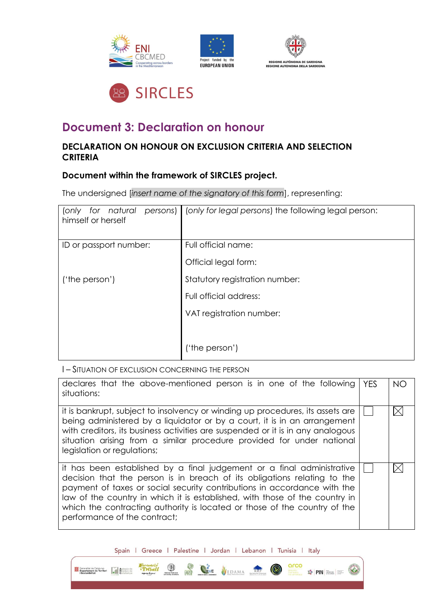







# **Document 3: Declaration on honour**

## **DECLARATION ON HONOUR ON EXCLUSION CRITERIA AND SELECTION CRITERIA**

### **Document within the framework of SIRCLES project.**

The undersigned [*insert name of the signatory of this form*], representing:

| for natural<br>persons)<br>(only<br>himself or herself | (only for legal persons) the following legal person: |
|--------------------------------------------------------|------------------------------------------------------|
| ID or passport number:                                 | Full official name:                                  |
|                                                        | Official legal form:                                 |
| ('the person')                                         | Statutory registration number:                       |
|                                                        | Full official address:                               |
|                                                        | VAT registration number:                             |
|                                                        |                                                      |
|                                                        | ('the person')                                       |

I – SITUATION OF EXCLUSION CONCERNING THE PERSON

| declares that the above-mentioned person is in one of the following<br>situations:                                                                                                                                                                                                                                                                                                                                         | <b>YFS</b> | NO. |
|----------------------------------------------------------------------------------------------------------------------------------------------------------------------------------------------------------------------------------------------------------------------------------------------------------------------------------------------------------------------------------------------------------------------------|------------|-----|
| it is bankrupt, subject to insolvency or winding up procedures, its assets are<br>being administered by a liquidator or by a court, it is in an arrangement<br>with creditors, its business activities are suspended or it is in any analogous<br>situation arising from a similar procedure provided for under national<br>legislation or regulations;                                                                    |            |     |
| it has been established by a final judgement or a final administrative<br>decision that the person is in breach of its obligations relating to the<br>payment of taxes or social security contributions in accordance with the<br>law of the country in which it is established, with those of the country in<br>which the contracting authority is located or those of the country of the<br>performance of the contract; |            |     |

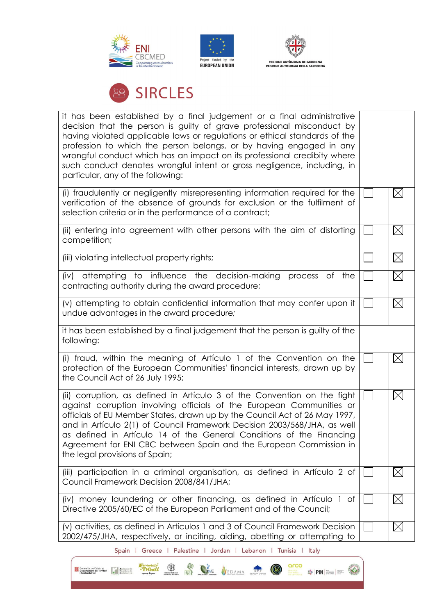





# **28 SIRCLES**

| it has been established by a final judgement or a final administrative<br>decision that the person is guilty of grave professional misconduct by<br>having violated applicable laws or regulations or ethical standards of the<br>profession to which the person belongs, or by having engaged in any<br>wrongful conduct which has an impact on its professional credibity where<br>such conduct denotes wrongful intent or gross negligence, including, in<br>particular, any of the following: |              |             |
|---------------------------------------------------------------------------------------------------------------------------------------------------------------------------------------------------------------------------------------------------------------------------------------------------------------------------------------------------------------------------------------------------------------------------------------------------------------------------------------------------|--------------|-------------|
| (i) fraudulently or negligently misrepresenting information required for the<br>verification of the absence of grounds for exclusion or the fulfilment of<br>selection criteria or in the performance of a contract;                                                                                                                                                                                                                                                                              |              | $\boxtimes$ |
| (ii) entering into agreement with other persons with the aim of distorting<br>competition;                                                                                                                                                                                                                                                                                                                                                                                                        |              | $\boxtimes$ |
| (iii) violating intellectual property rights;                                                                                                                                                                                                                                                                                                                                                                                                                                                     |              | $\boxtimes$ |
| attempting to influence the decision-making<br>(iv)<br>process of the<br>contracting authority during the award procedure;                                                                                                                                                                                                                                                                                                                                                                        |              | $\boxtimes$ |
| (v) attempting to obtain confidential information that may confer upon it<br>undue advantages in the award procedure;                                                                                                                                                                                                                                                                                                                                                                             |              | $\boxtimes$ |
| it has been established by a final judgement that the person is guilty of the<br>following:                                                                                                                                                                                                                                                                                                                                                                                                       |              |             |
| (i) fraud, within the meaning of Articulo 1 of the Convention on the<br>protection of the European Communities' financial interests, drawn up by<br>the Council Act of 26 July 1995;                                                                                                                                                                                                                                                                                                              |              | $\boxtimes$ |
| (ii) corruption, as defined in Artículo 3 of the Convention on the fight<br>against corruption involving officials of the European Communities or<br>officials of EU Member States, drawn up by the Council Act of 26 May 1997,<br>and in Artículo 2(1) of Council Framework Decision 2003/568/JHA, as well<br>as defined in Artículo 14 of the General Conditions of the Financing<br>Agreement for ENI CBC between Spain and the European Commission in<br>the legal provisions of Spain;       | $\mathbf{L}$ | $\boxtimes$ |
| (iii) participation in a criminal organisation, as defined in Artículo 2 of<br>Council Framework Decision 2008/841/JHA;                                                                                                                                                                                                                                                                                                                                                                           |              | $\boxtimes$ |
| (iv) money laundering or other financing, as defined in Artículo 1 of<br>Directive 2005/60/EC of the European Parliament and of the Council;                                                                                                                                                                                                                                                                                                                                                      |              | $\boxtimes$ |
| (v) activities, as defined in Artículos 1 and 3 of Council Framework Decision<br>2002/475/JHA, respectively, or inciting, aiding, abetting or attempting to                                                                                                                                                                                                                                                                                                                                       |              | $\boxtimes$ |

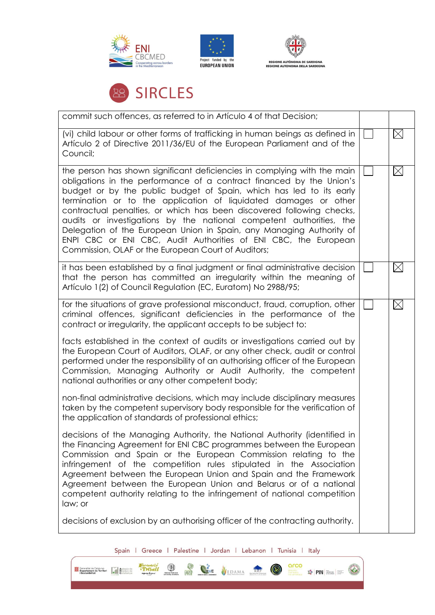







| commit such offences, as referred to in Artículo 4 of that Decision;                                                                                                                                                                                                                                                                                                                                                                                                                                                                                                                                                                          |             |
|-----------------------------------------------------------------------------------------------------------------------------------------------------------------------------------------------------------------------------------------------------------------------------------------------------------------------------------------------------------------------------------------------------------------------------------------------------------------------------------------------------------------------------------------------------------------------------------------------------------------------------------------------|-------------|
| (vi) child labour or other forms of trafficking in human beings as defined in<br>Artículo 2 of Directive 2011/36/EU of the European Parliament and of the<br>Council;                                                                                                                                                                                                                                                                                                                                                                                                                                                                         | $\boxtimes$ |
| the person has shown significant deficiencies in complying with the main<br>obligations in the performance of a contract financed by the Union's<br>budget or by the public budget of Spain, which has led to its early<br>termination or to the application of liquidated damages or other<br>contractual penalties, or which has been discovered following checks,<br>audits or investigations by the national competent authorities, the<br>Delegation of the European Union in Spain, any Managing Authority of<br>ENPI CBC or ENI CBC, Audit Authorities of ENI CBC, the European<br>Commission, OLAF or the European Court of Auditors; | $\boxtimes$ |
| it has been established by a final judgment or final administrative decision<br>that the person has committed an irregularity within the meaning of<br>Artículo 1(2) of Council Regulation (EC, Euratom) No 2988/95;                                                                                                                                                                                                                                                                                                                                                                                                                          | $\boxtimes$ |
| for the situations of grave professional misconduct, fraud, corruption, other<br>criminal offences, significant deficiencies in the performance of the<br>contract or irregularity, the applicant accepts to be subject to:                                                                                                                                                                                                                                                                                                                                                                                                                   | $\boxtimes$ |
| facts established in the context of audits or investigations carried out by<br>the European Court of Auditors, OLAF, or any other check, audit or control<br>performed under the responsibility of an authorising officer of the European<br>Commission, Managing Authority or Audit Authority, the competent<br>national authorities or any other competent body;                                                                                                                                                                                                                                                                            |             |
| non-final administrative decisions, which may include disciplinary measures<br>taken by the competent supervisory body responsible for the verification of<br>the application of standards of professional ethics;                                                                                                                                                                                                                                                                                                                                                                                                                            |             |
| decisions of the Managing Authority, the National Authority (identified in<br>the Financing Agreement for ENI CBC programmes between the European<br>Commission and Spain or the European Commission relating to the<br>infringement of the competition rules stipulated in the Association<br>Agreement between the European Union and Spain and the Framework<br>Agreement between the European Union and Belarus or of a national<br>competent authority relating to the infringement of national competition<br>law; or                                                                                                                   |             |
| decisions of exclusion by an authorising officer of the contracting authority.                                                                                                                                                                                                                                                                                                                                                                                                                                                                                                                                                                |             |

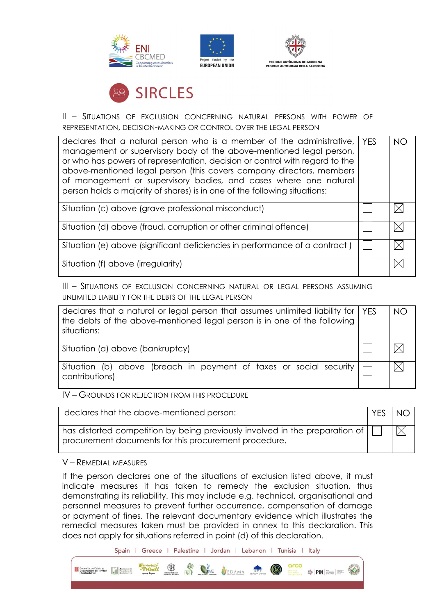







II – SITUATIONS OF EXCLUSION CONCERNING NATURAL PERSONS WITH POWER OF REPRESENTATION, DECISION-MAKING OR CONTROL OVER THE LEGAL PERSON

| declares that a natural person who is a member of the administrative,   YES<br>management or supervisory body of the above-mentioned legal person,<br>or who has powers of representation, decision or control with regard to the<br>above-mentioned legal person (this covers company directors, members<br>of management or supervisory bodies, and cases where one natural<br>person holds a majority of shares) is in one of the following situations: | NO |
|------------------------------------------------------------------------------------------------------------------------------------------------------------------------------------------------------------------------------------------------------------------------------------------------------------------------------------------------------------------------------------------------------------------------------------------------------------|----|
| Situation (c) above (grave professional misconduct)                                                                                                                                                                                                                                                                                                                                                                                                        |    |
| Situation (d) above (fraud, corruption or other criminal offence)                                                                                                                                                                                                                                                                                                                                                                                          |    |
| Situation (e) above (significant deficiencies in performance of a contract)                                                                                                                                                                                                                                                                                                                                                                                |    |
| Situation (f) above (irregularity)                                                                                                                                                                                                                                                                                                                                                                                                                         |    |

III – SITUATIONS OF EXCLUSION CONCERNING NATURAL OR LEGAL PERSONS ASSUMING UNLIMITED LIABILITY FOR THE DEBTS OF THE LEGAL PERSON

| declares that a natural or legal person that assumes unlimited liability for   YES<br>the debts of the above-mentioned legal person is in one of the following<br>situations: | NO |
|-------------------------------------------------------------------------------------------------------------------------------------------------------------------------------|----|
| Situation (a) above (bankruptcy)                                                                                                                                              |    |
| Situation (b) above (breach in payment of taxes or social security $\Box$<br>contributions)                                                                                   |    |

IV – GROUNDS FOR REJECTION FROM THIS PROCEDURE

| declares that the above-mentioned person:                                                                                                                                         | <b>YES</b> | <b>NO</b> |
|-----------------------------------------------------------------------------------------------------------------------------------------------------------------------------------|------------|-----------|
| $^\text{!}$ has distorted competition by being previously involved in the preparation of $\left \right $ $\left \right $<br>procurement documents for this procurement procedure. |            |           |

V – REMEDIAL MEASURES

If the person declares one of the situations of exclusion listed above, it must indicate measures it has taken to remedy the exclusion situation, thus demonstrating its reliability. This may include e.g. technical, organisational and personnel measures to prevent further occurrence, compensation of damage or payment of fines. The relevant documentary evidence which illustrates the remedial measures taken must be provided in annex to this declaration. This does not apply for situations referred in point (d) of this declaration.

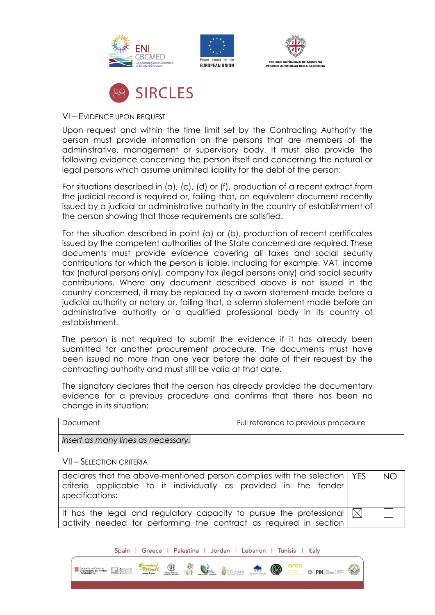







### VI – EVIDENCE UPON REQUEST

Upon request and within the time limit set by the Contracting Authority the person must provide information on the persons that are members of the administrative, management or supervisory body. It must also provide the following evidence concerning the person itself and concerning the natural or legal persons which assume unlimited liability for the debt of the person:

For situations described in (a), (c), (d) or (f), production of a recent extract from the judicial record is required or, failing that, an equivalent document recently issued by a judicial or administrative authority in the country of establishment of the person showing that those requirements are satisfied.

For the situation described in point (a) or (b), production of recent certificates issued by the competent authorities of the State concerned are required. These documents must provide evidence covering all taxes and social security contributions for which the person is liable, including for example, VAT, income tax (natural persons only), company tax (legal persons only) and social security contributions. Where any document described above is not issued in the country concerned, it may be replaced by a sworn statement made before a judicial authority or notary or, failing that, a solemn statement made before an administrative authority or a qualified professional body in its country of establishment.

The person is not required to submit the evidence if it has already been submitted for another procurement procedure. The documents must have been issued no more than one year before the date of their request by the contracting authority and must still be valid at that date.

The signatory declares that the person has already provided the documentary evidence for a previous procedure and confirms that there has been no change in its situation:

| Document                           | Full reference to previous procedure |
|------------------------------------|--------------------------------------|
| Insert as many lines as necessary. |                                      |

#### VII – SELECTION CRITERIA

| declares that the above-mentioned person complies with the selection   YES<br>criteria applicable to it individually as provided in the tender<br>specifications: | N <sup>O</sup> |
|-------------------------------------------------------------------------------------------------------------------------------------------------------------------|----------------|
| It has the legal and regulatory capacity to pursue the professional $\vert\,\vert\,\vert$<br>  activity needed for performing the contract as required in section |                |

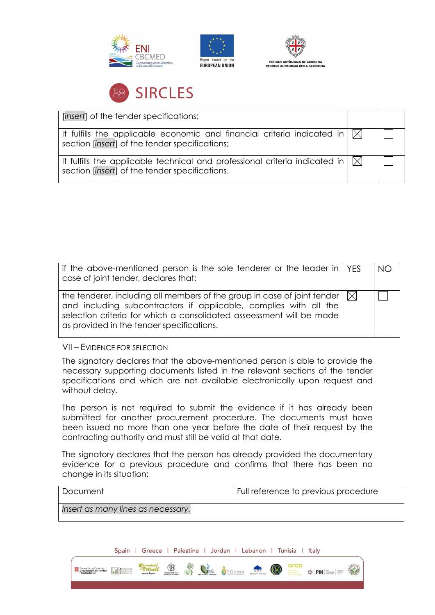







[*insert*] of the tender specifications; It fulfills the applicable economic and financial criteria indicated in  $\boxtimes$ section [*insert*] of the tender specifications; It fulfills the applicable technical and professional criteria indicated in  $\bowtie$ section [*insert*] of the tender specifications.

| if the above-mentioned person is the sole tenderer or the leader in $\vert$ YES<br>case of joint tender, declares that:                                                                                                                                                       | NO |
|-------------------------------------------------------------------------------------------------------------------------------------------------------------------------------------------------------------------------------------------------------------------------------|----|
| the tenderer, including all members of the group in case of joint tender $ \times $<br>and including subcontractors if applicable, complies with all the<br>selection criteria for which a consolidated asseessment will be made<br>as provided in the tender specifications. |    |

### VII – EVIDENCE FOR SELECTION

The signatory declares that the above-mentioned person is able to provide the necessary supporting documents listed in the relevant sections of the tender specifications and which are not available electronically upon request and without delay.

The person is not required to submit the evidence if it has already been submitted for another procurement procedure. The documents must have been issued no more than one year before the date of their request by the contracting authority and must still be valid at that date.

The signatory declares that the person has already provided the documentary evidence for a previous procedure and confirms that there has been no change in its situation:

| Document                           | Full reference to previous procedure |
|------------------------------------|--------------------------------------|
| Insert as many lines as necessary. |                                      |

| $\circled{3}$<br>VEDAMA RMF<br>Ó<br>HWE<br><b>Our Contractant de Catalunya</b><br><b>Contract de Territori</b><br><b>Catalunya</b><br><b>Catalunya</b><br>Treball<br><b>DESEARCH</b><br>THAT MARES<br>$\frac{1}{2}$ PIN $\frac{1}{2}$<br><b>EARTH</b><br>11111111 | <b>Spain</b> | Greece | Palestine | Jordan | Lebanon | Tunisia | Italy |  |
|-------------------------------------------------------------------------------------------------------------------------------------------------------------------------------------------------------------------------------------------------------------------|--------------|--------|-----------|--------|---------|---------|-------|--|
|                                                                                                                                                                                                                                                                   |              |        |           |        |         |         |       |  |